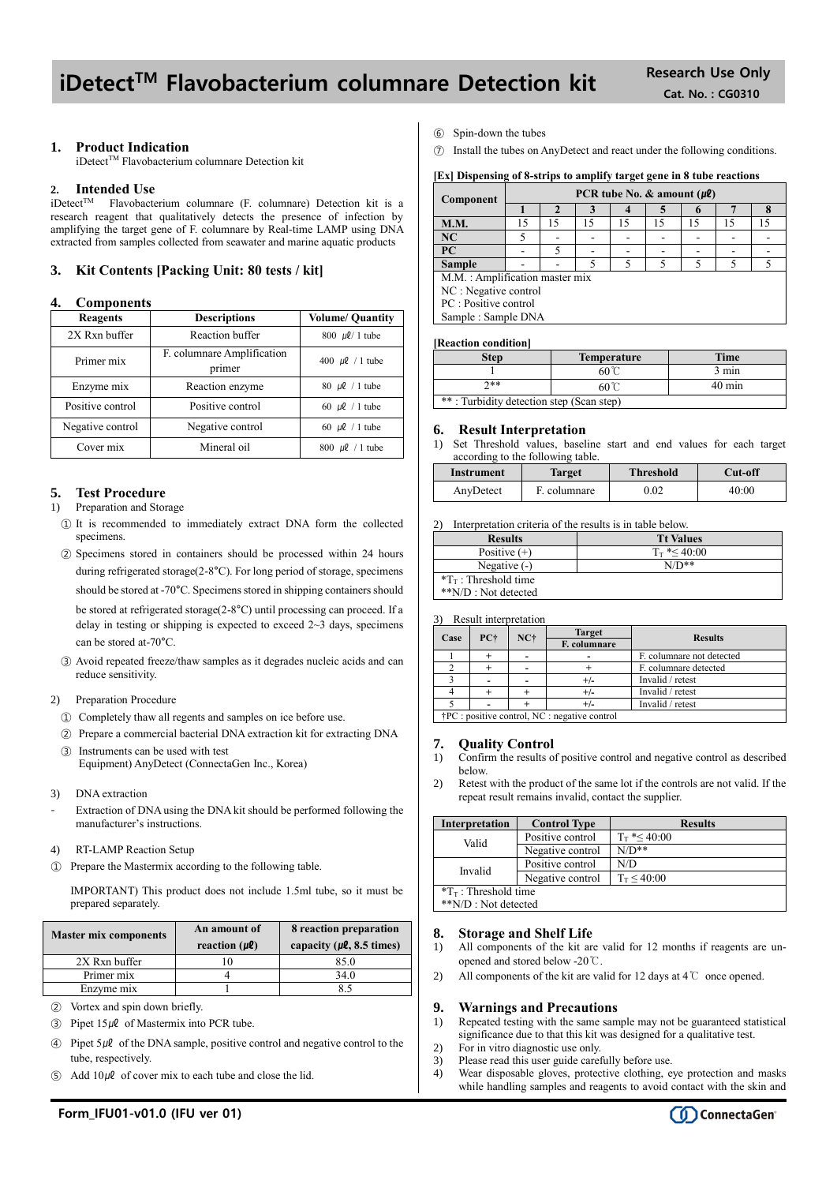# iDetect<sup>™</sup> Flavobacterium columnare Detection kit Research Use Only

## **1. Product Indication**

iDetect<sup>™</sup> Flavobacterium columnare Detection kit

## **2. Intended Use**

iDetect<sup>™</sup> Flavobacterium columnare (F. columnare) Detection kit is a research reagent that qualitatively detects the presence of infection by amplifying the target gene of F. columnare by Real-time LAMP using DNA extracted from samples collected from seawater and marine aquatic products

## **3. Kit Contents [Packing Unit: 80 tests / kit]**

### **4. Components**

| -------------    |                                      |                         |
|------------------|--------------------------------------|-------------------------|
| Reagents         | <b>Descriptions</b>                  | <b>Volume/ Quantity</b> |
| 2X Rxn buffer    | Reaction buffer                      | 800 µl/ 1 tube          |
| Primer mix       | F. columnare Amplification<br>primer | 400 $\mu$ l / 1 tube    |
| Enzyme mix       | Reaction enzyme                      | 80 $\mu$ l / 1 tube     |
| Positive control | Positive control                     | 60 $\mu$ l / 1 tube     |
| Negative control | Negative control                     | 60 $\mu$ l / 1 tube     |
| Cover mix        | Mineral oil                          | 800 $\mu$ l / 1 tube    |

## **5. Test Procedure**

#### 1) Preparation and Storage

- ① It is recommended to immediately extract DNA form the collected specimens.
- ② Specimens stored in containers should be processed within 24 hours during refrigerated storage(2-8°C). For long period of storage, specimens should be stored at -70°C. Specimens stored in shipping containers should be stored at refrigerated storage(2-8°C) until processing can proceed. If a delay in testing or shipping is expected to exceed  $2 \sim 3$  days, specimens can be stored at-70°C.
- ③ Avoid repeated freeze/thaw samples as it degrades nucleic acids and can reduce sensitivity.

## 2) Preparation Procedure

- ① Completely thaw all regents and samples on ice before use.
- ② Prepare a commercial bacterial DNA extraction kit for extracting DNA ③ Instruments can be used with test

Equipment) AnyDetect (ConnectaGen Inc., Korea)

- 3) DNA extraction
- Extraction of DNA using the DNA kit should be performed following the manufacturer's instructions.
- 4) RT-LAMP Reaction Setup
- ① Prepare the Mastermix according to the following table.

IMPORTANT) This product does not include 1.5ml tube, so it must be prepared separately.

| <b>Master mix components</b> | An amount of<br>reaction $(\mu \ell)$ | 8 reaction preparation<br>capacity ( $\mu$ <b>l</b> , 8.5 times) |  |
|------------------------------|---------------------------------------|------------------------------------------------------------------|--|
| 2X Rxn buffer                |                                       | 85.0                                                             |  |
| Primer mix                   |                                       | 34.0                                                             |  |
| Enzyme mix                   |                                       |                                                                  |  |

- ② Vortex and spin down briefly.
- $\textcircled{3}$  Pipet 15µl of Mastermix into PCR tube.
- $\widehat{A}$  Pipet 5µl of the DNA sample, positive control and negative control to the tube, respectively.
- Add  $10\mu\ell$  of cover mix to each tube and close the lid.
- ⑥ Spin-down the tubes
- Install the tubes on AnyDetect and react under the following conditions.

#### **[Ex] Dispensing of 8-strips to amplify target gene in 8 tube reactions**

| Component                      | PCR tube No. $\&$ amount ( $\mu$ <b>l</b> ) |    |    |    |    |    |     |  |
|--------------------------------|---------------------------------------------|----|----|----|----|----|-----|--|
|                                |                                             |    |    |    |    |    |     |  |
| <b>M.M.</b>                    | 15                                          | 15 | 15 | 15 | 15 | 15 | 1 ج |  |
| <b>NC</b>                      |                                             |    |    |    |    |    |     |  |
| <b>PC</b>                      |                                             |    |    |    |    |    |     |  |
| <b>Sample</b>                  |                                             |    |    |    |    |    |     |  |
| M.M.: Amplification master mix |                                             |    |    |    |    |    |     |  |
| NC : Negative control          |                                             |    |    |    |    |    |     |  |
| PC : Positive control          |                                             |    |    |    |    |    |     |  |
| Sample: Sample DNA             |                                             |    |    |    |    |    |     |  |
|                                |                                             |    |    |    |    |    |     |  |

#### **[Reaction condition]**

| <b>Step</b>                              | <b>Temperature</b> | <b>Time</b>      |  |
|------------------------------------------|--------------------|------------------|--|
|                                          | $60^{\circ}$       | 3 min            |  |
| ን**                                      | 60℃                | $40 \text{ min}$ |  |
| **: Turbidity detection step (Scan step) |                    |                  |  |

#### **6. Result Interpretation**

1) Set Threshold values, baseline start and end values for each target according to the following table.

| Instrument | Target      | <b>Threshold</b> | Cut-off |
|------------|-------------|------------------|---------|
| AnyDetect  | E columnare | $0.02\,$         | 40:00   |

2) Interpretation criteria of the results is in table below.

| <b>Results</b>                  | <b>Tt Values</b>     |
|---------------------------------|----------------------|
| Positive $(+)$                  | $T_{\rm T}$ *< 40:00 |
| Negative $(-)$                  | $N/D**$              |
| $T_{\text{T}}$ : Threshold time |                      |
| **N/D : Not detected            |                      |

3) Result interpretation

| Case |                                                        | $NC+$ | <b>Target</b> |                           |
|------|--------------------------------------------------------|-------|---------------|---------------------------|
|      | PC+                                                    |       | F. columnare  | <b>Results</b>            |
|      |                                                        |       |               | F. columnare not detected |
|      |                                                        |       |               | F. columnare detected     |
|      |                                                        |       |               | Invalid / retest          |
|      |                                                        |       | $+/-$         | Invalid / retest          |
|      |                                                        |       |               | Invalid / retest          |
|      | $\dagger$ PC : positive control, NC : negative control |       |               |                           |

### **7. Quality Control**

- 1) Confirm the results of positive control and negative control as described below.
- 2) Retest with the product of the same lot if the controls are not valid. If the repeat result remains invalid, contact the supplier.

| <b>Interpretation</b>           | <b>Control Type</b> | <b>Results</b>       |  |  |
|---------------------------------|---------------------|----------------------|--|--|
| Valid                           | Positive control    | $T_{\rm T}$ *< 40:00 |  |  |
|                                 | Negative control    | $N/D**$              |  |  |
| Invalid                         | Positive control    | N/D                  |  |  |
| Negative control                |                     | $T_T < 40:00$        |  |  |
| $T_{\text{T}}$ : Threshold time |                     |                      |  |  |
| **N/D : Not detected            |                     |                      |  |  |

## **8. Storage and Shelf Life**

- 1) All components of the kit are valid for 12 months if reagents are unopened and stored below -20℃.
- 2) All components of the kit are valid for 12 days at 4  $\mathbb C$  once opened.

## **9. Warnings and Precautions**

- 1) Repeated testing with the same sample may not be guaranteed statistical significance due to that this kit was designed for a qualitative test.
- 2) For in vitro diagnostic use only.
- 3) Please read this user guide carefully before use.
- 4) Wear disposable gloves, protective clothing, eye protection and masks while handling samples and reagents to avoid contact with the skin and